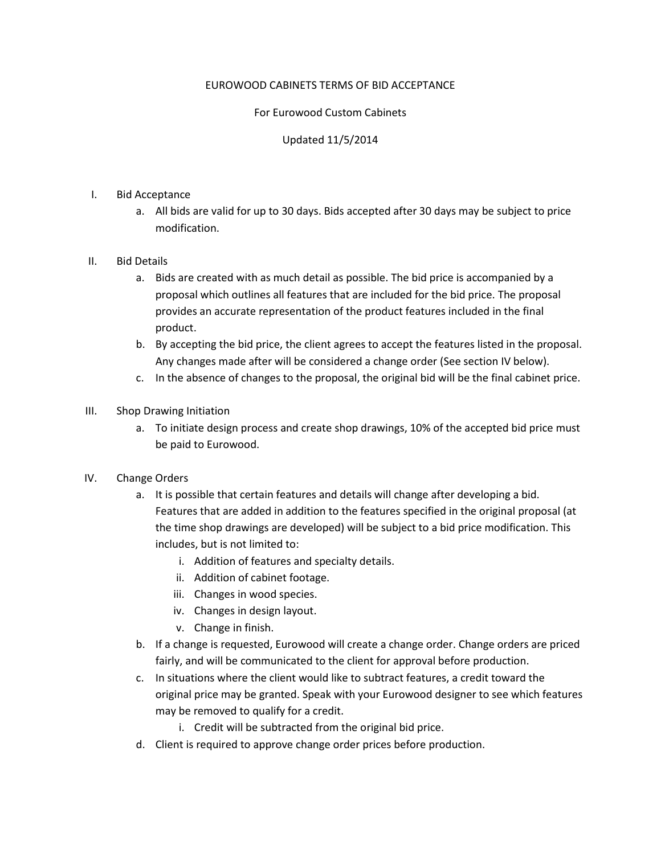# EUROWOOD CABINETS TERMS OF BID ACCEPTANCE

# For Eurowood Custom Cabinets

# Updated 11/5/2014

### I. Bid Acceptance

a. All bids are valid for up to 30 days. Bids accepted after 30 days may be subject to price modification.

## II. Bid Details

- a. Bids are created with as much detail as possible. The bid price is accompanied by a proposal which outlines all features that are included for the bid price. The proposal provides an accurate representation of the product features included in the final product.
- b. By accepting the bid price, the client agrees to accept the features listed in the proposal. Any changes made after will be considered a change order (See section IV below).
- c. In the absence of changes to the proposal, the original bid will be the final cabinet price.

### III. Shop Drawing Initiation

a. To initiate design process and create shop drawings, 10% of the accepted bid price must be paid to Eurowood.

### IV. Change Orders

- a. It is possible that certain features and details will change after developing a bid. Features that are added in addition to the features specified in the original proposal (at the time shop drawings are developed) will be subject to a bid price modification. This includes, but is not limited to:
	- i. Addition of features and specialty details.
	- ii. Addition of cabinet footage.
	- iii. Changes in wood species.
	- iv. Changes in design layout.
	- v. Change in finish.
- b. If a change is requested, Eurowood will create a change order. Change orders are priced fairly, and will be communicated to the client for approval before production.
- c. In situations where the client would like to subtract features, a credit toward the original price may be granted. Speak with your Eurowood designer to see which features may be removed to qualify for a credit.
	- i. Credit will be subtracted from the original bid price.
- d. Client is required to approve change order prices before production.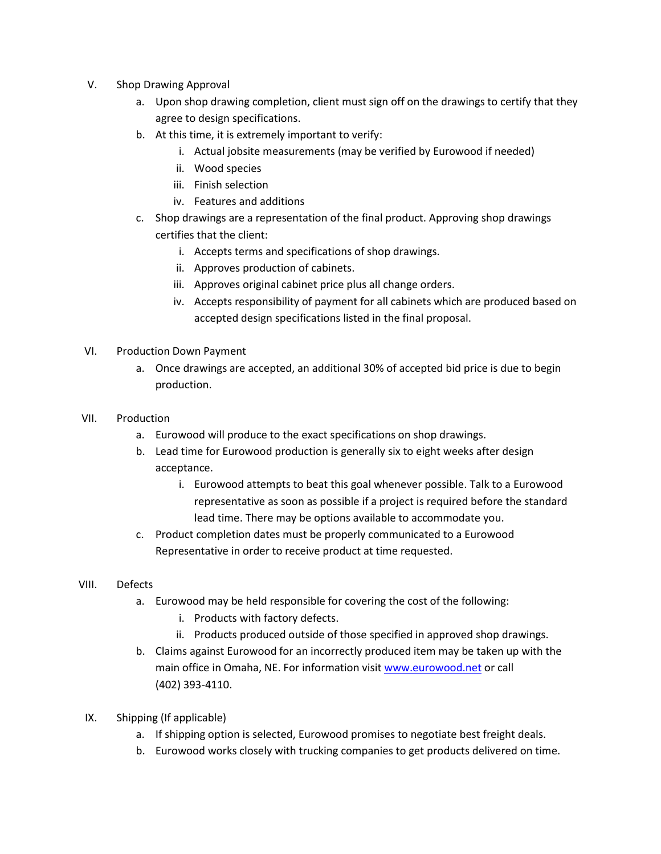- V. Shop Drawing Approval
	- a. Upon shop drawing completion, client must sign off on the drawings to certify that they agree to design specifications.
	- b. At this time, it is extremely important to verify:
		- i. Actual jobsite measurements (may be verified by Eurowood if needed)
		- ii. Wood species
		- iii. Finish selection
		- iv. Features and additions
	- c. Shop drawings are a representation of the final product. Approving shop drawings certifies that the client:
		- i. Accepts terms and specifications of shop drawings.
		- ii. Approves production of cabinets.
		- iii. Approves original cabinet price plus all change orders.
		- iv. Accepts responsibility of payment for all cabinets which are produced based on accepted design specifications listed in the final proposal.
- VI. Production Down Payment
	- a. Once drawings are accepted, an additional 30% of accepted bid price is due to begin production.
- VII. Production
	- a. Eurowood will produce to the exact specifications on shop drawings.
	- b. Lead time for Eurowood production is generally six to eight weeks after design acceptance.
		- i. Eurowood attempts to beat this goal whenever possible. Talk to a Eurowood representative as soon as possible if a project is required before the standard lead time. There may be options available to accommodate you.
	- c. Product completion dates must be properly communicated to a Eurowood Representative in order to receive product at time requested.
- VIII. Defects
	- a. Eurowood may be held responsible for covering the cost of the following:
		- i. Products with factory defects.
		- ii. Products produced outside of those specified in approved shop drawings.
	- b. Claims against Eurowood for an incorrectly produced item may be taken up with the main office in Omaha, NE. For information visit [www.eurowood.net](http://www.eurowood.net/) or call (402) 393-4110.
- IX. Shipping (If applicable)
	- a. If shipping option is selected, Eurowood promises to negotiate best freight deals.
	- b. Eurowood works closely with trucking companies to get products delivered on time.